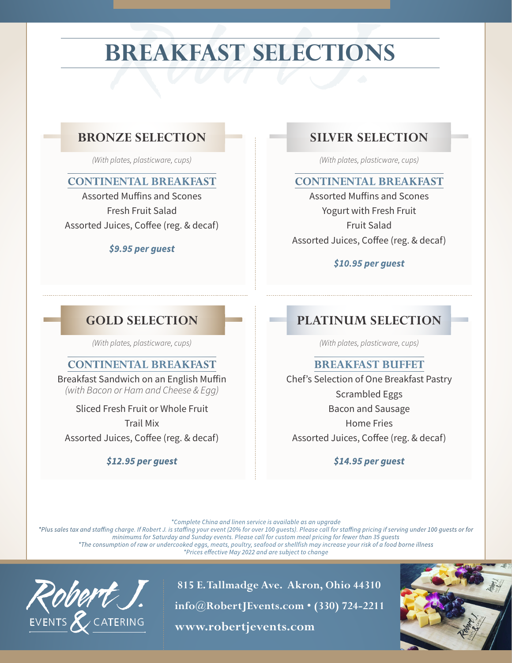# **BREAKFAST SELECTIONS**

# ZE SELECTION SILVER SE **BRONZE SELECTION**

*(With plates, plasticware, cups)*

#### **CONTINENTAL BREAKFAST**

Assorted Muffins and Scones Fresh Fruit Salad Assorted Juices, Coffee (reg. & decaf)

#### *\$9.95 per guest*

# **SILVER SELECTION**

*(With plates, plasticware, cups)*

#### **CONTINENTAL BREAKFAST**

Assorted Muffins and Scones Yogurt with Fresh Fruit Fruit Salad Assorted Juices, Coffee (reg. & decaf)

#### *\$10.95 per guest*

# **GOLD SELECTION**

*(With plates, plasticware, cups)*

# **CONTINENTAL BREAKFAST**

Breakfast Sandwich on an English Muffin *(with Bacon or Ham and Cheese & Egg)*

Sliced Fresh Fruit or Whole Fruit

Trail Mix

Assorted Juices, Coffee (reg. & decaf)

#### *\$12.95 per guest*

# **PLATINUM SELECTION**

*(With plates, plasticware, cups)*

# **BREAKFAST BUFFET**

Chef's Selection of One Breakfast Pastry Scrambled Eggs Bacon and Sausage Home Fries Assorted Juices, Coffee (reg. & decaf)

*\$14.95 per guest*

*\*Complete China and linen service is available as an upgrade*

*\*Plus sales tax and staffing charge. If Robert J. is staffing your event (20% for over 100 guests). Please call for staffing pricing if serving under 100 guests or for minimums for Saturday and Sunday events. Please call for custom meal pricing for fewer than 35 guests \*The consumption of raw or undercooked eggs, meats, poultry, seafood or shellfish may increase your risk of a food borne illness \*Prices effective May 2022 and are subject to change*



 **815 E. Tallmadge Ave. Akron, Ohio 44310 info@RobertJEvents.com • (330) 724-2211** EVENTS & CATERING **www.robertjevents.com**